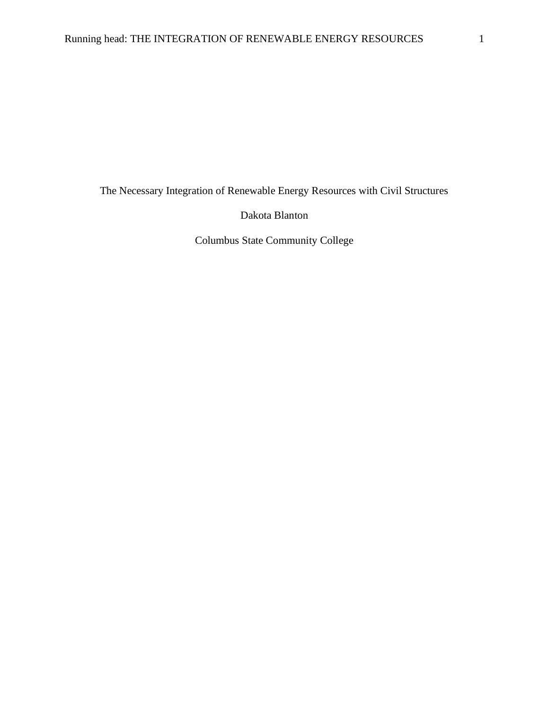The Necessary Integration of Renewable Energy Resources with Civil Structures

Dakota Blanton

Columbus State Community College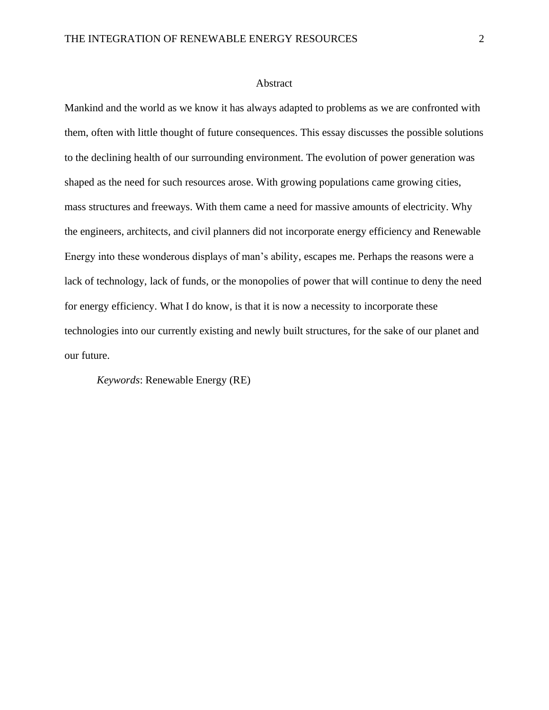#### Abstract

Mankind and the world as we know it has always adapted to problems as we are confronted with them, often with little thought of future consequences. This essay discusses the possible solutions to the declining health of our surrounding environment. The evolution of power generation was shaped as the need for such resources arose. With growing populations came growing cities, mass structures and freeways. With them came a need for massive amounts of electricity. Why the engineers, architects, and civil planners did not incorporate energy efficiency and Renewable Energy into these wonderous displays of man's ability, escapes me. Perhaps the reasons were a lack of technology, lack of funds, or the monopolies of power that will continue to deny the need for energy efficiency. What I do know, is that it is now a necessity to incorporate these technologies into our currently existing and newly built structures, for the sake of our planet and our future.

*Keywords*: Renewable Energy (RE)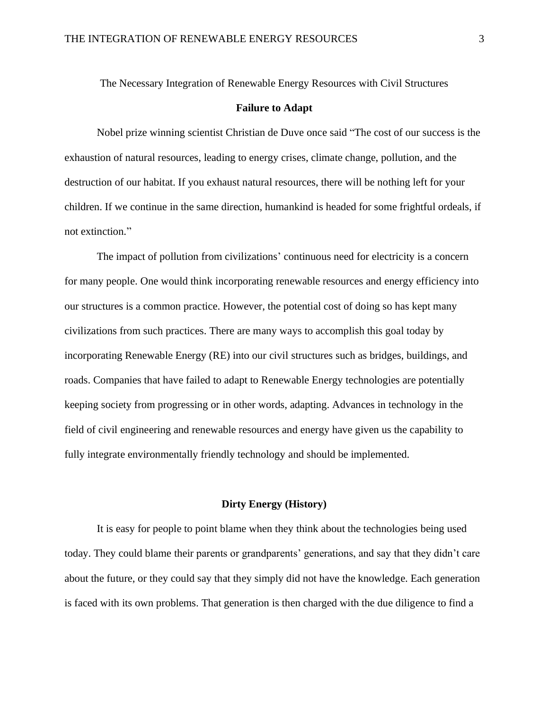The Necessary Integration of Renewable Energy Resources with Civil Structures

#### **Failure to Adapt**

Nobel prize winning scientist Christian de Duve once said "The cost of our success is the exhaustion of natural resources, leading to energy crises, climate change, pollution, and the destruction of our habitat. If you exhaust natural resources, there will be nothing left for your children. If we continue in the same direction, humankind is headed for some frightful ordeals, if not extinction."

The impact of pollution from civilizations' continuous need for electricity is a concern for many people. One would think incorporating renewable resources and energy efficiency into our structures is a common practice. However, the potential cost of doing so has kept many civilizations from such practices. There are many ways to accomplish this goal today by incorporating Renewable Energy (RE) into our civil structures such as bridges, buildings, and roads. Companies that have failed to adapt to Renewable Energy technologies are potentially keeping society from progressing or in other words, adapting. Advances in technology in the field of civil engineering and renewable resources and energy have given us the capability to fully integrate environmentally friendly technology and should be implemented.

# **Dirty Energy (History)**

It is easy for people to point blame when they think about the technologies being used today. They could blame their parents or grandparents' generations, and say that they didn't care about the future, or they could say that they simply did not have the knowledge. Each generation is faced with its own problems. That generation is then charged with the due diligence to find a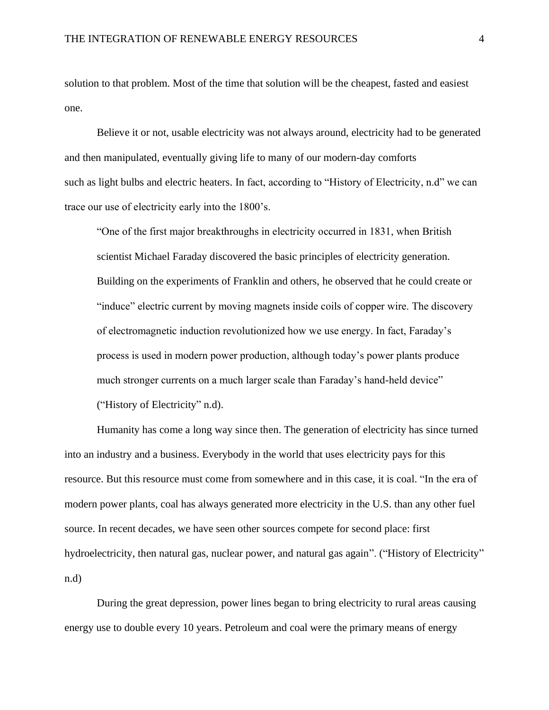solution to that problem. Most of the time that solution will be the cheapest, fasted and easiest one.

Believe it or not, usable electricity was not always around, electricity had to be generated and then manipulated, eventually giving life to many of our modern-day comforts such as light bulbs and electric heaters. In fact, according to "History of Electricity, n.d" we can trace our use of electricity early into the 1800's.

"One of the first major breakthroughs in electricity occurred in 1831, when British scientist Michael Faraday discovered the basic principles of electricity generation. Building on the experiments of Franklin and others, he observed that he could create or "induce" electric current by moving magnets inside coils of copper wire. The discovery of electromagnetic induction revolutionized how we use energy. In fact, Faraday's process is used in modern power production, although today's power plants produce much stronger currents on a much larger scale than Faraday's hand-held device" ("History of Electricity" n.d).

Humanity has come a long way since then. The generation of electricity has since turned into an industry and a business. Everybody in the world that uses electricity pays for this resource. But this resource must come from somewhere and in this case, it is coal. "In the era of modern power plants, coal has always generated more electricity in the U.S. than any other fuel source. In recent decades, we have seen other sources compete for second place: first hydroelectricity, then natural gas, nuclear power, and natural gas again". ("History of Electricity" n.d)

During the great depression, power lines began to bring electricity to rural areas causing energy use to double every 10 years. Petroleum and coal were the primary means of energy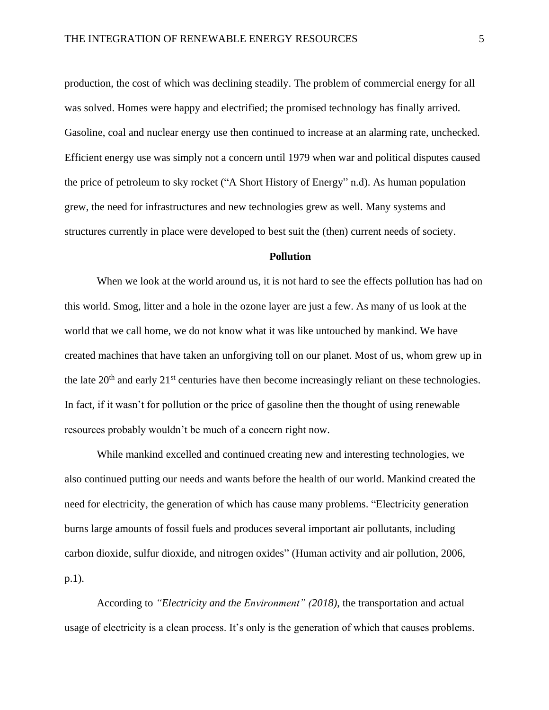production, the cost of which was declining steadily. The problem of commercial energy for all was solved. Homes were happy and electrified; the promised technology has finally arrived. Gasoline, coal and nuclear energy use then continued to increase at an alarming rate, unchecked. Efficient energy use was simply not a concern until 1979 when war and political disputes caused the price of petroleum to sky rocket ("A Short History of Energy" n.d). As human population grew, the need for infrastructures and new technologies grew as well. Many systems and structures currently in place were developed to best suit the (then) current needs of society.

# **Pollution**

When we look at the world around us, it is not hard to see the effects pollution has had on this world. Smog, litter and a hole in the ozone layer are just a few. As many of us look at the world that we call home, we do not know what it was like untouched by mankind. We have created machines that have taken an unforgiving toll on our planet. Most of us, whom grew up in the late  $20<sup>th</sup>$  and early  $21<sup>st</sup>$  centuries have then become increasingly reliant on these technologies. In fact, if it wasn't for pollution or the price of gasoline then the thought of using renewable resources probably wouldn't be much of a concern right now.

While mankind excelled and continued creating new and interesting technologies, we also continued putting our needs and wants before the health of our world. Mankind created the need for electricity, the generation of which has cause many problems. "Electricity generation burns large amounts of fossil fuels and produces several important air pollutants, including carbon dioxide, sulfur dioxide, and nitrogen oxides" (Human activity and air pollution, 2006, p.1).

According to *"Electricity and the Environment" (2018)*, the transportation and actual usage of electricity is a clean process. It's only is the generation of which that causes problems.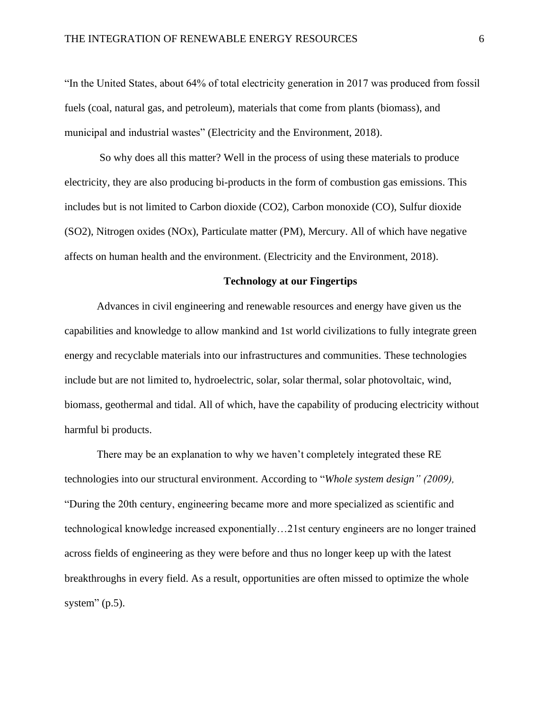"In the United States, about 64% of total electricity generation in 2017 was produced from fossil fuels (coal, natural gas, and petroleum), materials that come from plants (biomass), and municipal and industrial wastes" (Electricity and the Environment, 2018).

So why does all this matter? Well in the process of using these materials to produce electricity, they are also producing bi-products in the form of combustion gas emissions. This includes but is not limited to Carbon dioxide (CO2), Carbon monoxide (CO), Sulfur dioxide (SO2), Nitrogen oxides (NOx), Particulate matter (PM), Mercury. All of which have negative affects on human health and the environment. (Electricity and the Environment, 2018).

## **Technology at our Fingertips**

Advances in civil engineering and renewable resources and energy have given us the capabilities and knowledge to allow mankind and 1st world civilizations to fully integrate green energy and recyclable materials into our infrastructures and communities. These technologies include but are not limited to, hydroelectric, solar, solar thermal, solar photovoltaic, wind, biomass, geothermal and tidal. All of which, have the capability of producing electricity without harmful bi products.

There may be an explanation to why we haven't completely integrated these RE technologies into our structural environment. According to "*Whole system design" (2009),* "During the 20th century, engineering became more and more specialized as scientific and technological knowledge increased exponentially…21st century engineers are no longer trained across fields of engineering as they were before and thus no longer keep up with the latest breakthroughs in every field. As a result, opportunities are often missed to optimize the whole system"  $(p.5)$ .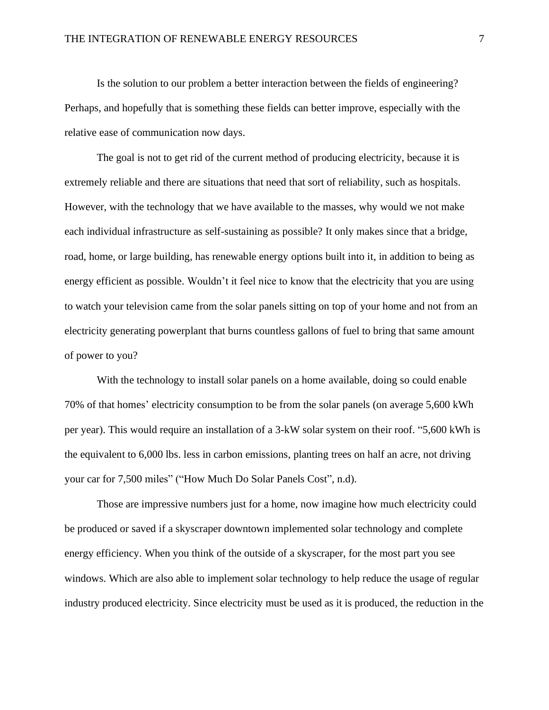Is the solution to our problem a better interaction between the fields of engineering? Perhaps, and hopefully that is something these fields can better improve, especially with the relative ease of communication now days.

The goal is not to get rid of the current method of producing electricity, because it is extremely reliable and there are situations that need that sort of reliability, such as hospitals. However, with the technology that we have available to the masses, why would we not make each individual infrastructure as self-sustaining as possible? It only makes since that a bridge, road, home, or large building, has renewable energy options built into it, in addition to being as energy efficient as possible. Wouldn't it feel nice to know that the electricity that you are using to watch your television came from the solar panels sitting on top of your home and not from an electricity generating powerplant that burns countless gallons of fuel to bring that same amount of power to you?

With the technology to install solar panels on a home available, doing so could enable 70% of that homes' electricity consumption to be from the solar panels (on average 5,600 kWh per year). This would require an installation of a 3-kW solar system on their roof. "5,600 kWh is the equivalent to 6,000 lbs. less in carbon emissions, planting trees on half an acre, not driving your car for 7,500 miles" ("How Much Do Solar Panels Cost", n.d).

Those are impressive numbers just for a home, now imagine how much electricity could be produced or saved if a skyscraper downtown implemented solar technology and complete energy efficiency. When you think of the outside of a skyscraper, for the most part you see windows. Which are also able to implement solar technology to help reduce the usage of regular industry produced electricity. Since electricity must be used as it is produced, the reduction in the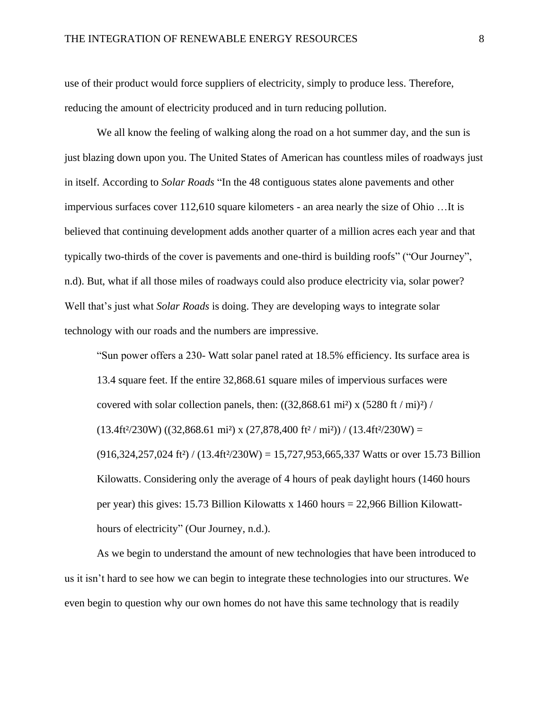use of their product would force suppliers of electricity, simply to produce less. Therefore, reducing the amount of electricity produced and in turn reducing pollution.

We all know the feeling of walking along the road on a hot summer day, and the sun is just blazing down upon you. The United States of American has countless miles of roadways just in itself. According to *Solar Roads* "In the 48 contiguous states alone pavements and other impervious surfaces cover 112,610 square kilometers - an area nearly the size of Ohio …It is believed that continuing development adds another quarter of a million acres each year and that typically two-thirds of the cover is pavements and one-third is building roofs" ("Our Journey", n.d). But, what if all those miles of roadways could also produce electricity via, solar power? Well that's just what *Solar Roads* is doing. They are developing ways to integrate solar technology with our roads and the numbers are impressive.

"Sun power offers a 230- Watt solar panel rated at 18.5% efficiency. Its surface area is 13.4 square feet. If the entire 32,868.61 square miles of impervious surfaces were covered with solar collection panels, then:  $((32,868.61 \text{ mi}^2) \times (5280 \text{ ft} / \text{mi})^2)$  /  $(13.4\text{ft}^2/230\text{W}) ((32,868.61 \text{ mi}^2) \times (27,878,400 \text{ ft}^2/\text{mi}^2)) / (13.4\text{ft}^2/230\text{W}) =$  $(916,324,257,024 \text{ ft}^2) / (13.4 \text{ ft}^2/230 \text{W}) = 15,727,953,665,337 \text{ Watts or over } 15.73 \text{ Billion}$ Kilowatts. Considering only the average of 4 hours of peak daylight hours (1460 hours per year) this gives: 15.73 Billion Kilowatts x 1460 hours = 22,966 Billion Kilowatthours of electricity" (Our Journey, n.d.).

As we begin to understand the amount of new technologies that have been introduced to us it isn't hard to see how we can begin to integrate these technologies into our structures. We even begin to question why our own homes do not have this same technology that is readily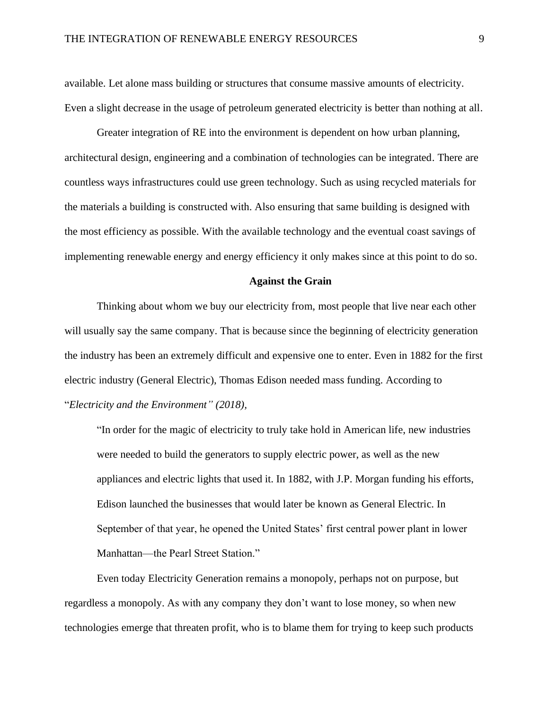available. Let alone mass building or structures that consume massive amounts of electricity. Even a slight decrease in the usage of petroleum generated electricity is better than nothing at all.

Greater integration of RE into the environment is dependent on how urban planning, architectural design, engineering and a combination of technologies can be integrated. There are countless ways infrastructures could use green technology. Such as using recycled materials for the materials a building is constructed with. Also ensuring that same building is designed with the most efficiency as possible. With the available technology and the eventual coast savings of implementing renewable energy and energy efficiency it only makes since at this point to do so.

### **Against the Grain**

Thinking about whom we buy our electricity from, most people that live near each other will usually say the same company. That is because since the beginning of electricity generation the industry has been an extremely difficult and expensive one to enter. Even in 1882 for the first electric industry (General Electric), Thomas Edison needed mass funding. According to "*Electricity and the Environment" (2018),*

"In order for the magic of electricity to truly take hold in American life, new industries were needed to build the generators to supply electric power, as well as the new appliances and electric lights that used it. In 1882, with J.P. Morgan funding his efforts, Edison launched the businesses that would later be known as General Electric. In September of that year, he opened the United States' first central power plant in lower Manhattan—the Pearl Street Station."

Even today Electricity Generation remains a monopoly, perhaps not on purpose, but regardless a monopoly. As with any company they don't want to lose money, so when new technologies emerge that threaten profit, who is to blame them for trying to keep such products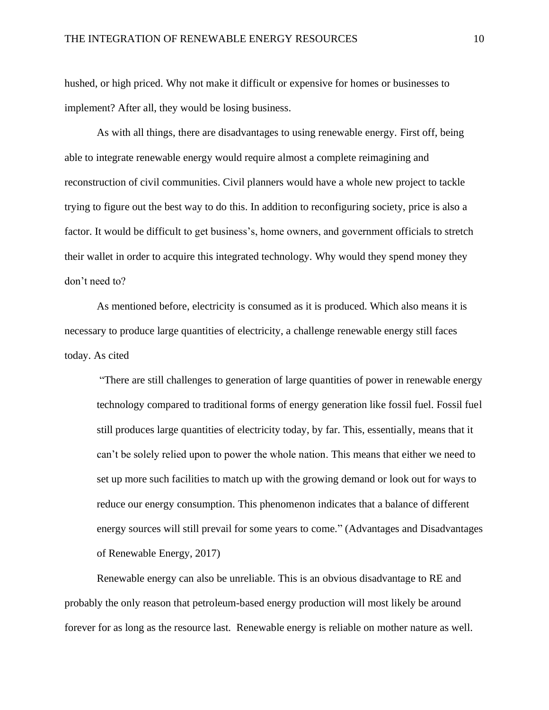hushed, or high priced. Why not make it difficult or expensive for homes or businesses to implement? After all, they would be losing business.

As with all things, there are disadvantages to using renewable energy. First off, being able to integrate renewable energy would require almost a complete reimagining and reconstruction of civil communities. Civil planners would have a whole new project to tackle trying to figure out the best way to do this. In addition to reconfiguring society, price is also a factor. It would be difficult to get business's, home owners, and government officials to stretch their wallet in order to acquire this integrated technology. Why would they spend money they don't need to?

As mentioned before, electricity is consumed as it is produced. Which also means it is necessary to produce large quantities of electricity, a challenge renewable energy still faces today. As cited

"There are still challenges to generation of large quantities of power in renewable energy technology compared to traditional forms of energy generation like fossil fuel. Fossil fuel still produces large quantities of electricity today, by far. This, essentially, means that it can't be solely relied upon to power the whole nation. This means that either we need to set up more such facilities to match up with the growing demand or look out for ways to reduce our energy consumption. This phenomenon indicates that a balance of different energy sources will still prevail for some years to come." (Advantages and Disadvantages of Renewable Energy, 2017)

Renewable energy can also be unreliable. This is an obvious disadvantage to RE and probably the only reason that petroleum-based energy production will most likely be around forever for as long as the resource last. Renewable energy is reliable on mother nature as well.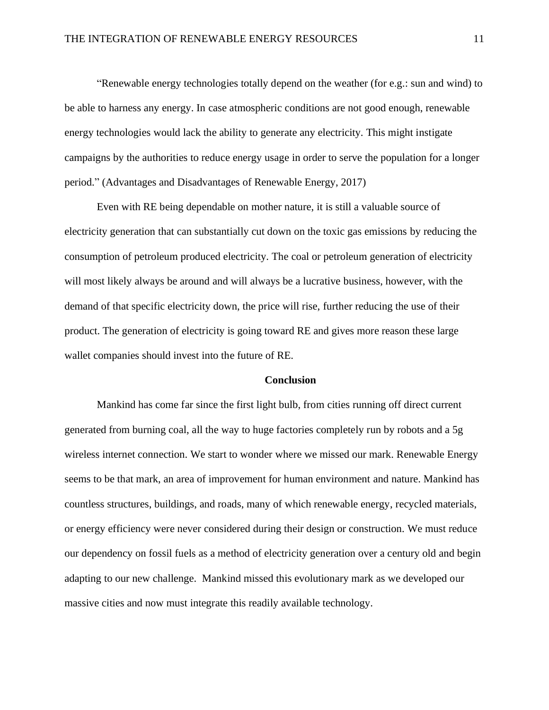"Renewable energy technologies totally depend on the weather (for e.g.: sun and wind) to be able to harness any energy. In case atmospheric conditions are not good enough, renewable energy technologies would lack the ability to generate any electricity. This might instigate campaigns by the authorities to reduce energy usage in order to serve the population for a longer period." (Advantages and Disadvantages of Renewable Energy, 2017)

Even with RE being dependable on mother nature, it is still a valuable source of electricity generation that can substantially cut down on the toxic gas emissions by reducing the consumption of petroleum produced electricity. The coal or petroleum generation of electricity will most likely always be around and will always be a lucrative business, however, with the demand of that specific electricity down, the price will rise, further reducing the use of their product. The generation of electricity is going toward RE and gives more reason these large wallet companies should invest into the future of RE.

## **Conclusion**

Mankind has come far since the first light bulb, from cities running off direct current generated from burning coal, all the way to huge factories completely run by robots and a 5g wireless internet connection. We start to wonder where we missed our mark. Renewable Energy seems to be that mark, an area of improvement for human environment and nature. Mankind has countless structures, buildings, and roads, many of which renewable energy, recycled materials, or energy efficiency were never considered during their design or construction. We must reduce our dependency on fossil fuels as a method of electricity generation over a century old and begin adapting to our new challenge. Mankind missed this evolutionary mark as we developed our massive cities and now must integrate this readily available technology.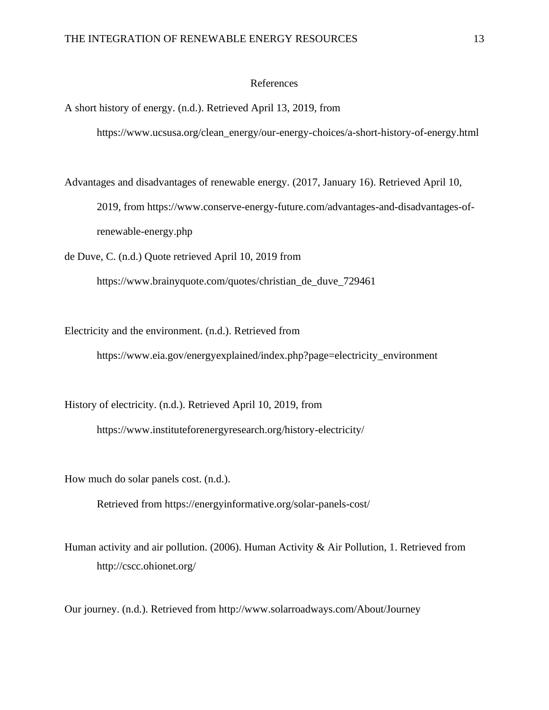### References

A short history of energy. (n.d.). Retrieved April 13, 2019, from

https://www.ucsusa.org/clean\_energy/our-energy-choices/a-short-history-of-energy.html

Advantages and disadvantages of renewable energy. (2017, January 16). Retrieved April 10, 2019, from https://www.conserve-energy-future.com/advantages-and-disadvantages-ofrenewable-energy.php

de Duve, C. (n.d.) Quote retrieved April 10, 2019 from

https://www.brainyquote.com/quotes/christian\_de\_duve\_729461

Electricity and the environment. (n.d.). Retrieved from

https://www.eia.gov/energyexplained/index.php?page=electricity\_environment

History of electricity. (n.d.). Retrieved April 10, 2019, from

https://www.instituteforenergyresearch.org/history-electricity/

How much do solar panels cost. (n.d.).

Retrieved from https://energyinformative.org/solar-panels-cost/

Human activity and air pollution. (2006). Human Activity & Air Pollution, 1. Retrieved from http://cscc.ohionet.org/

Our journey. (n.d.). Retrieved from http://www.solarroadways.com/About/Journey